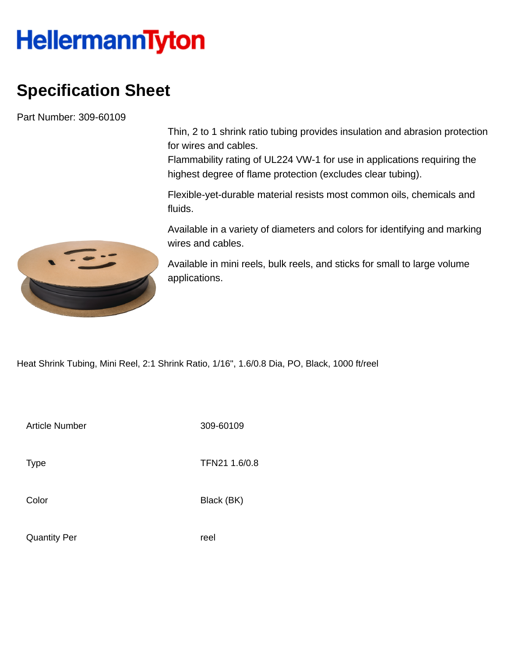## **HellermannTyton**

## **Specification Sheet**

Part Number: 309-60109

Thin, 2 to 1 shrink ratio tubing provides insulation and abrasion protection for wires and cables.

Flammability rating of UL224 VW-1 for use in applications requiring the highest degree of flame protection (excludes clear tubing).

Flexible-yet-durable material resists most common oils, chemicals and fluids.

Available in a variety of diameters and colors for identifying and marking wires and cables.

Available in mini reels, bulk reels, and sticks for small to large volume applications.

Heat Shrink Tubing, Mini Reel, 2:1 Shrink Ratio, 1/16", 1.6/0.8 Dia, PO, Black, 1000 ft/reel

Article Number 309-60109

Type **TFN21 1.6/0.8** 

Color Black (BK)

Quantity Per **reel** 

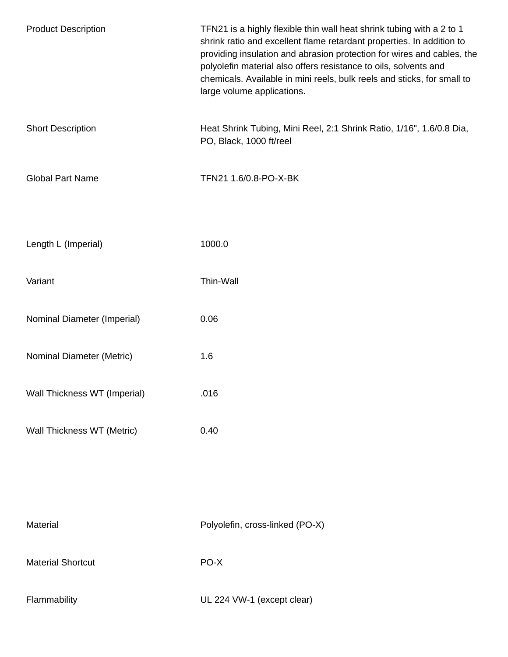| <b>Product Description</b>   | TFN21 is a highly flexible thin wall heat shrink tubing with a 2 to 1<br>shrink ratio and excellent flame retardant properties. In addition to<br>providing insulation and abrasion protection for wires and cables, the<br>polyolefin material also offers resistance to oils, solvents and<br>chemicals. Available in mini reels, bulk reels and sticks, for small to<br>large volume applications. |
|------------------------------|-------------------------------------------------------------------------------------------------------------------------------------------------------------------------------------------------------------------------------------------------------------------------------------------------------------------------------------------------------------------------------------------------------|
| <b>Short Description</b>     | Heat Shrink Tubing, Mini Reel, 2:1 Shrink Ratio, 1/16", 1.6/0.8 Dia,<br>PO, Black, 1000 ft/reel                                                                                                                                                                                                                                                                                                       |
| <b>Global Part Name</b>      | TFN21 1.6/0.8-PO-X-BK                                                                                                                                                                                                                                                                                                                                                                                 |
| Length L (Imperial)          | 1000.0                                                                                                                                                                                                                                                                                                                                                                                                |
| Variant                      | Thin-Wall                                                                                                                                                                                                                                                                                                                                                                                             |
| Nominal Diameter (Imperial)  | 0.06                                                                                                                                                                                                                                                                                                                                                                                                  |
| Nominal Diameter (Metric)    | 1.6                                                                                                                                                                                                                                                                                                                                                                                                   |
| Wall Thickness WT (Imperial) | .016                                                                                                                                                                                                                                                                                                                                                                                                  |
| Wall Thickness WT (Metric)   | 0.40                                                                                                                                                                                                                                                                                                                                                                                                  |
|                              |                                                                                                                                                                                                                                                                                                                                                                                                       |
| Material                     | Polyolefin, cross-linked (PO-X)                                                                                                                                                                                                                                                                                                                                                                       |
| <b>Material Shortcut</b>     | PO-X                                                                                                                                                                                                                                                                                                                                                                                                  |
| Flammability                 | UL 224 VW-1 (except clear)                                                                                                                                                                                                                                                                                                                                                                            |